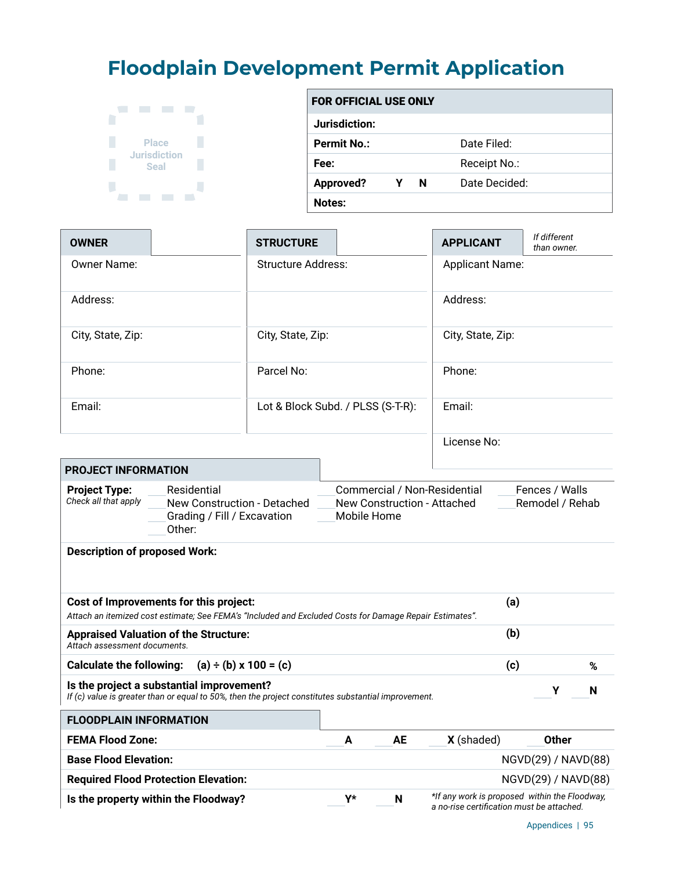## **Floodplain Development Permit Application**



| <b>FOR OFFICIAL USE ONLY</b> |   |   |               |  |  |
|------------------------------|---|---|---------------|--|--|
| Jurisdiction:                |   |   |               |  |  |
| <b>Permit No.:</b>           |   |   | Date Filed:   |  |  |
| Fee:                         |   |   | Receipt No.:  |  |  |
| <b>Approved?</b>             | Υ | N | Date Decided: |  |  |
| Notes:                       |   |   |               |  |  |

| <b>OWNER</b>                                                                                                                                               |                                                                                                                                                   | <b>STRUCTURE</b>                  |   |                                                                                                                 | <b>APPLICANT</b> | If different<br>than owner. |  |
|------------------------------------------------------------------------------------------------------------------------------------------------------------|---------------------------------------------------------------------------------------------------------------------------------------------------|-----------------------------------|---|-----------------------------------------------------------------------------------------------------------------|------------------|-----------------------------|--|
| Owner Name:                                                                                                                                                |                                                                                                                                                   | <b>Structure Address:</b>         |   |                                                                                                                 |                  | <b>Applicant Name:</b>      |  |
| Address:                                                                                                                                                   |                                                                                                                                                   |                                   |   |                                                                                                                 | Address:         |                             |  |
| City, State, Zip:                                                                                                                                          |                                                                                                                                                   | City, State, Zip:                 |   | City, State, Zip:                                                                                               |                  |                             |  |
| Phone:                                                                                                                                                     |                                                                                                                                                   | Parcel No:                        |   | Phone:                                                                                                          |                  |                             |  |
| Email:                                                                                                                                                     |                                                                                                                                                   | Lot & Block Subd. / PLSS (S-T-R): |   | Email:                                                                                                          |                  |                             |  |
|                                                                                                                                                            |                                                                                                                                                   |                                   |   |                                                                                                                 | License No:      |                             |  |
| <b>PROJECT INFORMATION</b>                                                                                                                                 |                                                                                                                                                   |                                   |   |                                                                                                                 |                  |                             |  |
| <b>Project Type:</b><br>Check all that apply                                                                                                               | Residential<br>New Construction - Detached<br>Grading / Fill / Excavation<br>Other:                                                               |                                   |   | Commercial / Non-Residential<br>Fences / Walls<br>New Construction - Attached<br>Remodel / Rehab<br>Mobile Home |                  |                             |  |
| <b>Description of proposed Work:</b>                                                                                                                       |                                                                                                                                                   |                                   |   |                                                                                                                 |                  |                             |  |
|                                                                                                                                                            | Cost of Improvements for this project:<br>Attach an itemized cost estimate; See FEMA's "Included and Excluded Costs for Damage Repair Estimates". |                                   |   |                                                                                                                 | (a)              |                             |  |
| (b)<br><b>Appraised Valuation of the Structure:</b><br>Attach assessment documents.                                                                        |                                                                                                                                                   |                                   |   |                                                                                                                 |                  |                             |  |
| <b>Calculate the following:</b>                                                                                                                            | $(a) \div (b) \times 100 = (c)$                                                                                                                   |                                   |   |                                                                                                                 | (c)              | %                           |  |
| Is the project a substantial improvement?<br>Υ<br>N<br>If (c) value is greater than or equal to 50%, then the project constitutes substantial improvement. |                                                                                                                                                   |                                   |   |                                                                                                                 |                  |                             |  |
| <b>FLOODPLAIN INFORMATION</b>                                                                                                                              |                                                                                                                                                   |                                   |   |                                                                                                                 |                  |                             |  |
| <b>FEMA Flood Zone:</b>                                                                                                                                    |                                                                                                                                                   |                                   | A | <b>AE</b>                                                                                                       | X (shaded)       | <b>Other</b>                |  |
| <b>Base Flood Elevation:</b>                                                                                                                               |                                                                                                                                                   |                                   |   |                                                                                                                 |                  | NGVD(29) / NAVD(88)         |  |
| <b>Required Flood Protection Elevation:</b>                                                                                                                |                                                                                                                                                   |                                   |   |                                                                                                                 |                  | NGVD(29) / NAVD(88)         |  |
| *If any work is proposed within the Floodway,<br>Y*<br>Is the property within the Floodway?<br>N<br>a no-rise certification must be attached.              |                                                                                                                                                   |                                   |   |                                                                                                                 |                  |                             |  |